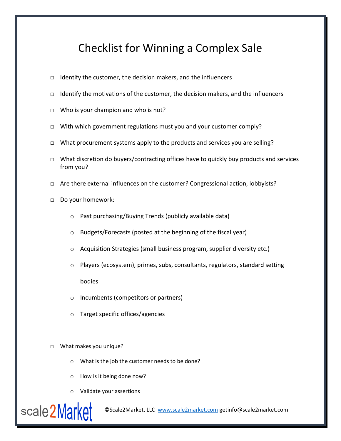## Checklist for Winning a Complex Sale

- □ Identify the customer, the decision makers, and the influencers
- $\Box$  Identify the motivations of the customer, the decision makers, and the influencers
- □ Who is your champion and who is not?
- □ With which government regulations must you and your customer comply?
- $\Box$  What procurement systems apply to the products and services you are selling?
- □ What discretion do buyers/contracting offices have to quickly buy products and services from you?
- □ Are there external influences on the customer? Congressional action, lobbyists?
- □ Do your homework:
	- o Past purchasing/Buying Trends (publicly available data)
	- o Budgets/Forecasts (posted at the beginning of the fiscal year)
	- o Acquisition Strategies (small business program, supplier diversity etc.)
	- o Players (ecosystem), primes, subs, consultants, regulators, standard setting bodies
	- o Incumbents (competitors or partners)
	- o Target specific offices/agencies

## □ What makes you unique?

- o What is the job the customer needs to be done?
- o How is it being done now?
- o Validate your assertions



©Scale2Market, LLC [www.scale2market.com](http://www.scale2market.com/) getinfo@scale2market.com